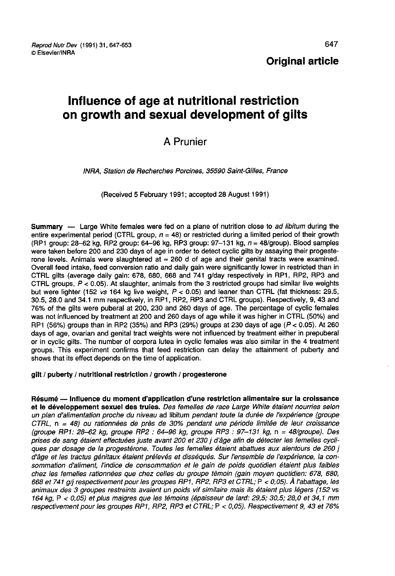Reprod Nutr Dev (1991) 31, 647-653 C Elsevier/INRA

Original article

# Influence of age at nutritional restriction on growth and sexual development of gilts

# A Prunier

INRA, Station de Recherches Porcines, 35590 Saint-Gilles, France

(Received 5 February 1991; accepted 28 August 1991)

Summary — Large White females were fed on a plane of nutrition close to ad libitum during the entire experimental period (CTRL group,  $n = 48$ ) or restricted during a limited period of their growth (RP1 group: 28-62 kg, RP2 group: 64-96 kg, RP3 group: 97-131 kg,  $n = 48$ /group). Blood samples were taken before 200 and 230 days of age in order to detect cyclic gilts by assaying their progesterone levels. Animals were slaughtered at  $\approx$  260 d of age and their genital tracts were examined. Overall feed intake, feed conversion ratio and daily gain were significantly lower in restricted than in CTRL gilts (average daily gain: 678, 680, 668 and 741 g/day respectively in RP1, RP2, RP3 and CTRL groups,  $P < 0.05$ ). At slaughter, animals from the 3 restricted groups had similar live weights but were lighter (152 vs 164 kg live weight,  $P < 0.05$ ) and leaner than CTRL (fat thickness: 29.5, 30.5, 28.0 and 34.1 mm respectively, in RP1, RP2, RP3 and CTRL groups). Respectively, 9, 43 and 76% of the gilts were puberal at 200, 230 and 260 days of age. The percentage of cyclic females was not influenced by treatment at 200 and 260 days of age while it was higher in CTRL (50%) and RP1 (56%) groups than in RP2 (35%) and RP3 (29%) groups at 230 days of age ( $P < 0.05$ ). At 260 days of age, ovarian and genital tract weights were not influenced by treatment either in prepuberal or in cyclic gilts. The number of corpora lutea in cyclic females was also similar in the 4 treatment groups. This experiment confirms that feed restriction can delay the attainment of puberty and shows that its effect depends on the time of application.

#### gilt / puberty / nutritional restriction / growth / progesterone

Résumé ― Influence du moment d'application d'une restriction alimentaire sur la croissance et le développement sexuel des truies. Des femelles de race Large White étaient nourries selon un plan d'alimentation proche du niveau ad libitum pendant toute la durée de l'expérience (groupe CTRL, n = 48) ou rationnées de près de 30% pendant une période limitée de leur croissance (groupe RP1: 28-62 kg, groupe RP2 : 64-96 kg, groupe RP3 : 97-131 kg, n = 48/groupe). Des prises de sang étaient effectuées juste avant 200 et 230 j d'âge afin de détecter les femelles cycliques par dosage de la progestérone. Toutes les femelles étaient abattues aux alentours de 260 j d'âge et les tractus génitaux étaient prélevés et disséqués. Sur l'ensemble de l'expérience, la consommation d'aliment, l'indice de consommation et le gain de poids quotidien étaient plus faibles chez les femelles rationnées que chez celles du groupe témoin (gain moyen quotidien: 678, 680, 668 et 741 glj respectivement pour les groupes RP1, RP2, RP3 et CTRL; P < 0, 05). À l'abattage, les animaux des 3 groupes restreints avaient un poids vif similaire mais ils étaient plus légers (152 vs 164 kg, P < 0,05) et plus maigres que les témoins (épaisseur de lard: 29,5; 30,5; 28,0 et 34,1 mm respectivement pour les groupes RP1, RP2, RP3 et CTRL; P < 0,05). Respectivement 9, 43 et 76%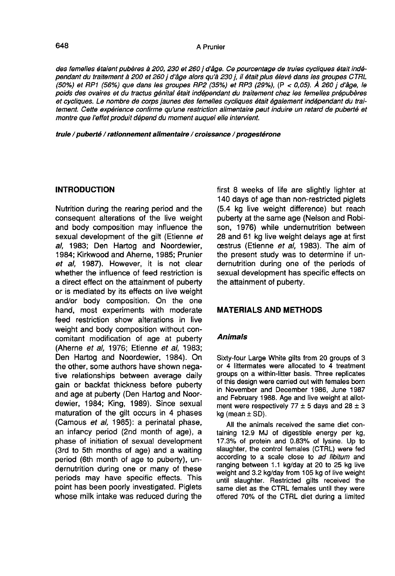des femelles étaient pubères à 200, 230 et 260 j d'âge. Ce pourcentage de truies cycliques était indépendant du traitement à 200 et 260 j d'âge alors qu'à 230 j, il était plus élevé dans les groupes CTRL (50°/) et RP1 (56%) que dans les groupes RP2 (35%) et RP3 (29%), (P < 0,05). À 260 j d'âge, le poids des ovaires et du tractus génital était indépendant du traitement chez les femelles prépubères et cycliques. Le nombre de corps jaunes des femelles cycliques était également indépendant du traitement. Cette expérience confirme qu'une restriction alimentaire peut induire un retard de puberté et montre que l'effet produit dépend du moment auquel elle intervient.

truie / puberté / rationnement alimentaire / croissance / progestérone

#### **INTRODUCTION**

Nutrition during the rearing period and the consequent alterations of the live weight and body composition may influence the sexual development of the gilt (Etienne et al, 1983; Den Hartog and Noordewier, 1984; Kirkwood and Aherne, 1985; Prunier et al, 1987). However, it is not clear whether the influence of feed restriction is a direct effect on the attainment of puberty or is mediated by its effects on live weight and/or body composition. On the one hand, most experiments with moderate feed restriction show alterations in live weight and body composition without concomitant modification of age at puberty (Aherne et al, 1976; Etienne et al, 1983; Den Hartog and Noordewier, 1984). On the other, some authors have shown negative relationships between average daily gain or backfat thickness before puberty and age at puberty (Den Hartog and Noordewier, 1984; King, 1989). Since sexual maturation of the gilt occurs in 4 phases (Camous et al, 1985): a perinatal phase, an infancy period (2nd month of age), a phase of initiation of sexual development (3rd to 5th months of age) and a waiting period (6th month of age to puberty), undernutrition during one or many of these periods may have specific effects. This point has been poorly investigated. Piglets whose milk intake was reduced during the

first 8 weeks of life are slightly lighter at 140 days of age than non-restricted piglets (5.4 kg live weight difference) but reach puberty at the same age (Nelson and Robison, 1976) while undernutrition between 28 and 61 kg live weight delays age at first oestrus (Etienne et al, 1983). The aim of the present study was to determine if undernutrition during one of the periods of sexual development has specific effects on the attainment of puberty.

# MATERIALS AND METHODS

# Animals

Sixty-four Large White gilts from 20 groups of 3 or 4 littermates were allocated to 4 treatment groups on a within-litter basis. Three replicates of this design were carried out with females born in November and December 1986, June 1987 and February 1988. Age and live weight at allotment were respectively 77  $\pm$  5 days and 28  $\pm$  3 kg (mean  $\pm$  SD).

All the animals received the same diet containing 12.9 MJ of digestible energy per kg, 17.3% of protein and 0.83% of lysine. Up to slaughter, the control females (CTRL) were fed according to a scale close to ad libitum and ranging between 1.1 kg/day at 20 to 25 kg live weight and 3.2 kg/day from 105 kg of live weight until slaughter. Restricted gilts received the same diet as the CTRL females until they were offered 70% of the CTRL diet during a limited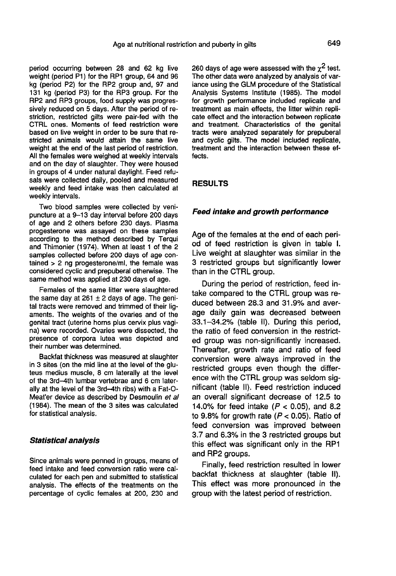period occurring between 28 and 62 kg live weight (period P1) for the RP1 group, 64 and 96 kg (period P2) for the RP2 group and, 97 and 131 kg (period P3) for the RP3 group. For the RP2 and RP3 groups, food supply was progressively reduced on 5 days. After the period of restriction, restricted gilts were pair-fed with the CTRL ones. Moments of feed restriction were based on live weight in order to be sure that restricted animals would attain the same live weight at the end of the last period of restriction. All the females were weighed at weekly intervals and on the day of slaughter. They were housed in groups of 4 under natural daylight. Feed refusals were collected daily, pooled and measured weekly and feed intake was then calculated at weekly intervals.

Two blood samples were collected by venipuncture at a 9-13 day interval before 200 days of age and 2 others before 230 days. Plasma progesterone was assayed on these samples according to the method described by Terqui and Thimonier (1974). When at least 1 of the 2 samples collected before 200 days of age contained > 2 ng progesterone/ml, the female was considered cyclic and prepuberal otherwise. The same method was applied at 230 days of age.

Females of the same litter were slaughtered the same day at 261  $\pm$  2 days of age. The genital tracts were removed and trimmed of their lig aments. The weights of the ovaries and of the genital tract (uterine horns plus cervix plus vagina) were recorded. Ovaries were dissected, the presence of corpora lutea was depicted and their number was determined.

Backfat thickness was measured at slaughter<br>in 3 sites (on the mid line at the level of the gluteus medius muscle, 8 cm laterally at the level of the 3rd-4th lumbar vertebrae and 6 cm laterally at the level of the 3rd-4th ribs) with a Fat-O-Meat'er device as described by Desmoulin et al (1984). The mean of the 3 sites was calculated for statistical analysis.

#### Statistical analysis

Since animals were penned in groups, means of feed intake and feed conversion ratio were calculated for each pen and submitted to statistical analysis. The effects of the treatments on the percentage of cyclic females at 200, 230 and 260 days of age were assessed with the  $\chi^2$  test. The other data were analyzed by analysis of variance using the GLM procedure of the Statistical Analysis Systems Institute (1985). The model for growth performance included replicate and treatment as main effects, the litter within repli cate effect and the interaction between replicate and treatment. Characteristics of the genital tracts were analyzed separately for prepuberal and cyclic gilts. The model included replicate, treatment and the interaction between these effects.

#### RESULTS

#### Feed intake and growth performance

Age of the females at the end of each period of feed restriction is given in table I. Live weight at slaughter was similar in the 3 restricted groups but significantly lower than in the CTRL group.

During the period of restriction, feed intake compared to the CTRL group was reduced between 28.3 and 31.9% and average daily gain was decreased between 33.1-34.2% (table II). During this period, the ratio of feed conversion in the restricted group was non-significantly increased. Thereafter, growth rate and ratio of feed conversion were always improved in the restricted groups even though the difference with the CTRL group was seldom significant (table II). Feed restriction induced an overall significant decrease of 12.5 to 14.0% for feed intake ( $P < 0.05$ ), and 8.2 to 9.8% for growth rate  $(P < 0.05)$ . Ratio of feed conversion was improved between 3.7 and 6.3% in the 3 restricted groups but this effect was significant only in the RP1 and RP2 groups.

Finally, feed restriction resulted in lower backfat thickness at slaughter (table II). This effect was more pronounced in the group with the latest period of restriction.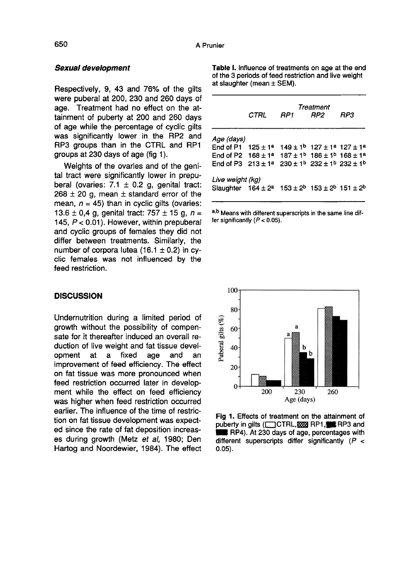#### Sexual development

Respectively, 9, 43 and 76% of the gilts were puberal at 200, 230 and 260 days of age. Treatment had no effect on the attainment of puberty at 200 and 260 days<br>of age while the percentage of cyclic gilts was significantly lower in the RP2 and RP3 groups than in the CTRL and RP1 groups at 230 days of age (fig 1).

Weights of the ovaries and of the genital tract were significantly lower in prepuberal (ovaries: 7.1  $\pm$  0.2 g, genital tract:  $268 \pm 20$  g, mean  $\pm$  standard error of the mean,  $n = 45$ ) than in cyclic gilts (ovaries: 13.6  $\pm$  0.4 g, genital tract: 757  $\pm$  15 g, n = 145,  $P < 0.01$ ). However, within prepuberal and cyclic groups of females they did not differ between treatments. Similarly, the number of corpora lutea (16.1  $\pm$  0.2) in cyclic females was not influenced by the feed restriction.

#### **DISCUSSION**

Undernutrition during a limited period of growth without the possibility of compensate for it thereafter induced an overall reduction of live weight and fat tissue devel-<br>opment at a fixed age and an opment at a fixed age and an improvement of feed efficiency. The effect on fat tissue was more pronounced when feed restriction occurred later in development while the effect on feed efficiency was higher when feed restriction occurred earlier. The influence of the time of restriction on fat tissue development was expected since the rate of fat deposition increases during growth (Metz et al, 1980; Den Hartog and Noordewier, 1984). The effect Table I. Influence of treatments on age at the end of the 3 periods of feed restriction and live weight at slaughter (mean  $\pm$  SEM).

|                                                                   | CTRL | RP <sub>1</sub> | Treatment<br>RP <sub>2</sub>                                    | RP3 |  |  |  |  |
|-------------------------------------------------------------------|------|-----------------|-----------------------------------------------------------------|-----|--|--|--|--|
| Age (days)                                                        |      |                 |                                                                 |     |  |  |  |  |
| End of P1 $125 \pm 1^a$                                           |      |                 | $149 \pm 1^b$ 127 $\pm$ 1 <sup>a</sup> 127 $\pm$ 1 <sup>a</sup> |     |  |  |  |  |
| End of P2 $168 \pm 1^a$ $187 \pm 1^b$ $186 \pm 1^b$ $168 \pm 1^a$ |      |                 |                                                                 |     |  |  |  |  |
| End of P3 $213 \pm 1^a$ $230 \pm 1^b$ $232 \pm 1^b$ $232 \pm 1^b$ |      |                 |                                                                 |     |  |  |  |  |
| Live weight (kg)                                                  |      |                 |                                                                 |     |  |  |  |  |
| Slaughter $164 \pm 2^a$ $153 \pm 2^b$ $153 \pm 2^b$ $151 \pm 2^b$ |      |                 |                                                                 |     |  |  |  |  |
|                                                                   |      |                 |                                                                 |     |  |  |  |  |

a,b Means with different superscripts in the same line differ significantly  $(P < 0.05)$ .



Fig 1. Effects of treatment on the attainment of puberty in gilts (COTRL, 2003) RP1, FRIP3 and RP4). At 230 days of age, percentages with different superscripts differ significantly  $(P <$  $0.05$ ).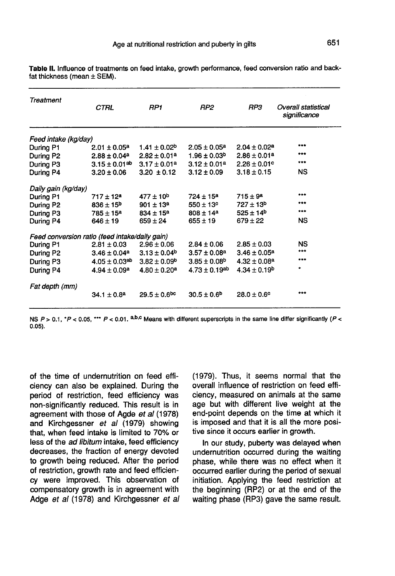| Treatment                                      | CTRL                          | RP1                          | RP2                           | RP3                    | <b>Overall statistical</b><br>significance |  |  |  |
|------------------------------------------------|-------------------------------|------------------------------|-------------------------------|------------------------|--------------------------------------------|--|--|--|
| Feed intake (kg/day)                           |                               |                              |                               |                        |                                            |  |  |  |
| During P1                                      | $2.01 \pm 0.05^a$             | $1.41 \pm 0.02^b$            | $2.05 \pm 0.05^a$             | $2.04 \pm 0.02^a$      | ***                                        |  |  |  |
| During P2                                      | $2.88 \pm 0.04^a$             | $2.82 \pm 0.01^a$            | $1.96 \pm 0.03^{\rm b}$       | $2.86 \pm 0.01^a$      |                                            |  |  |  |
| During P3                                      | $3.15 \pm 0.01$ <sup>ab</sup> | $3.17 \pm 0.01^a$            | $3.12 \pm 0.01^a$             | $2.26 \pm 0.01$ °      | $***$                                      |  |  |  |
| During P4                                      | $3.20 \pm 0.06$               | $3.20 \pm 0.12$              | $3.12 \pm 0.09$               | $3.18 \pm 0.15$        | <b>NS</b>                                  |  |  |  |
| Daily gain (kg/day)                            |                               |                              |                               |                        |                                            |  |  |  |
| During P1                                      | $717 \pm 12^a$                | $477 \pm 10^{b}$             | $724 \pm 15^a$                | $715 \pm 9^a$          | ***                                        |  |  |  |
| During P <sub>2</sub>                          | $836 \pm 15^{b}$              | $901 \pm 13^a$               | $550 \pm 13^{\circ}$          | $727 \pm 13^b$         | ***                                        |  |  |  |
| During P3                                      | $785 \pm 15^{\rm a}$          | $834 \pm 15^a$               | $808 \pm 14^a$                | $525 \pm 14^{b}$       | 1.17                                       |  |  |  |
| During P4                                      | $646 \pm 19$                  | $659 \pm 24$                 | $655 \pm 19$                  | $679 \pm 22$           | NS                                         |  |  |  |
| Feed conversion ratio (feed intake/daily gain) |                               |                              |                               |                        |                                            |  |  |  |
| During P1                                      | $2.81 \pm 0.03$               | $2.96 \pm 0.06$              | $2.84 \pm 0.06$               | $2.85 \pm 0.03$        | ΝS                                         |  |  |  |
| During P2                                      | $3.46 \pm 0.04^a$             | $3.13 \pm 0.04^b$            | $3.57 \pm 0.08^a$             | $3.46 \pm 0.05^a$      | ***                                        |  |  |  |
| During P3                                      | $4.05 \pm 0.03$ <sup>ab</sup> | $3.82 \pm 0.09^b$            | $3.85 \pm 0.08$ <sup>b</sup>  | $4.32 \pm 0.08^a$      | 7777                                       |  |  |  |
| During P4                                      | $4.94 \pm 0.09^{\rm a}$       | $4.80 \pm 0.20^a$            | $4.73 \pm 0.19$ <sup>ab</sup> | $4.34 \pm 0.19^b$      | ٠                                          |  |  |  |
| Fat depth (mm)                                 |                               |                              |                               |                        |                                            |  |  |  |
|                                                | $34.1 \pm 0.8^a$              | $29.5 \pm 0.6$ <sub>bc</sub> | $30.5 \pm 0.6$ <sup>b</sup>   | $28.0 \pm 0.6^{\circ}$ | ***                                        |  |  |  |

Table II. Influence of treatments on feed intake, growth performance, feed conversion ratio and backfat thickness (mean  $\pm$  SEM).

NS  $P > 0.1$ ,  $\Delta P < 0.05$ ,  $\Delta P > 0.01$ . a,b,c Means with different superscripts in the same line differ significantly (P <  $0.05$ ).

of the time of undernutrition on feed efficiency can also be explained. During the period of restriction, feed efficiency was non-significantly reduced. This result is in agreement with those of Agde et al (1978) and Kirchgessner et al (1979) showing that, when feed intake is limited to 70% or less of the ad libitum intake, feed efficiency decreases, the fraction of energy devoted to growth being reduced. After the period of restriction, growth rate and feed efficiency were improved. This observation of compensatory growth is in agreement with Adge et al (1978) and Kirchgessner et al (1979). Thus, it seems normal that the overall influence of restriction on feed efficiency, measured on animals at the same age but with different live weight at the end-point depends on the time at which it is imposed and that it is all the more positive since it occurs earlier in growth.

In our study, puberty was delayed when undernutrition occurred during the waiting phase, while there was no effect when it occurred earlier during the period of sexual initiation. Applying the feed restriction at the beginning (RP2) or at the end of the waiting phase (RP3) gave the same result.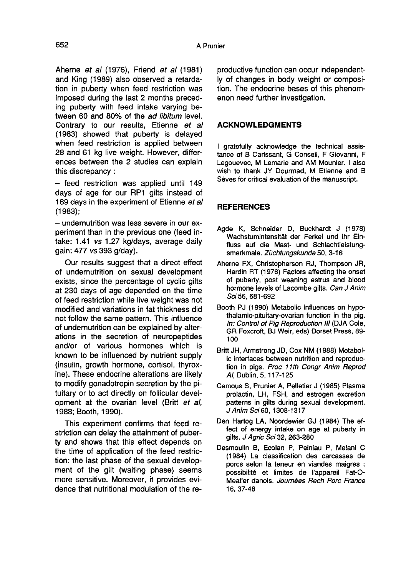Aherne et al (1976), Friend et al (1981) and King (1989) also observed a retardation in puberty when feed restriction was imposed during the last 2 months preceding puberty with feed intake varying between 60 and 80% of the ad libitum level. Contrary to our results, Etienne et al (1983) showed that puberty is delayed when feed restriction is applied between 28 and 61 kg live weight. However, differences between the 2 studies can explain this discrepancy :

- feed restriction was applied until 149 days of age for our RP1 gilts instead of 169 days in the experiment of Etienne et al (1983);

 $-$  undernutrition was less severe in our experiment than in the previous one (feed intake: 1.41 vs 1.27 kg/days, average daily gain: 477 vs 393 g/day).

Our results suggest that a direct effect of undernutrition on sexual development exists, since the percentage of cyclic gilts at 230 days of age depended on the time of feed restriction while live weight was not modified and variations in fat thickness did not follow the same pattern. This influence of undernutrition can be explained by alterations in the secretion of neuropeptides and/or of various hormones which is known to be influenced by nutrient supply (insulin, growth hormone, cortisol, thyroxine). These endocrine alterations are likely to modify gonadotropin secretion by the pituitary or to act directly on follicular development at the ovarian level (Britt et al, 1988; Booth, 1990).

This experiment confirms that feed restriction can delay the attainment of puberty and shows that this effect depends on the time of application of the feed restriction: the last phase of the sexual development of the gilt (waiting phase) seems more sensitive. Moreover, it provides evidence that nutritional modulation of the reproductive function can occur independently of changes in body weight or composition. The endocrine bases of this phenom enon need further investigation.

# ACKNOWLEDGMENTS

I gratefully acknowledge the technical assistance of B Carissant, G Conseil, F Giovanni, F Legouevec, M Lemarie and AM Mounier. I also wish to thank JY Dourmad, M Etienne and B Sèves for critical evaluation of the manuscript.

# **REFERENCES**

- Agde K, Schneider D, Buckhardt J (1978) Wachstumintensität der Ferkel und ihr Einfluss auf die Mast- und Schlachtleistungsmerkmale. Züchtungskunde 50, 3-16
- Aherne FX, Christopherson RJ, Thompson JR, Hardin RT (1976) Factors affecting the onset of puberty, post weaning estrus and blood hormone levels of Lacombe gilts. Can J Anim Sci 56, 681-692
- Booth PJ (1990) Metabolic influences on hypothalamic-pituitary-ovarian function in the pig. In: Control of Pig Reproduction III (DJA Cole, GR Foxcroft, BJ Weir, eds) Dorset Press, 89- 100
- Britt JH, Armstrong JD, Cox NM (1988) Metabolic interfaces between nutrition and reproduction in pigs. Proc 11th Congr Anim Reprod Al, Dublin, 5, 117-125
- Camous S, Prunier A, Pelletier J (1985) Plasma prolactin, LH, FSH, and estrogen excretion patterns in gilts during sexual development. J Anim Sci 60, 1308-1317
- Den Hartog LA, Noordewier GJ (1984) The effect of energy intake on age at puberty in gilts. J Agric Sci 32, 263-280
- Desmoulin B, Ecolan P, Peiniau P, Melani C (1984) La classification des carcasses de porcs selon la teneur en viandes maigres : possibilité et limites de l'appareil Fat-O-Meat'er danois. Joumées Rech Porc France 16, 37-48